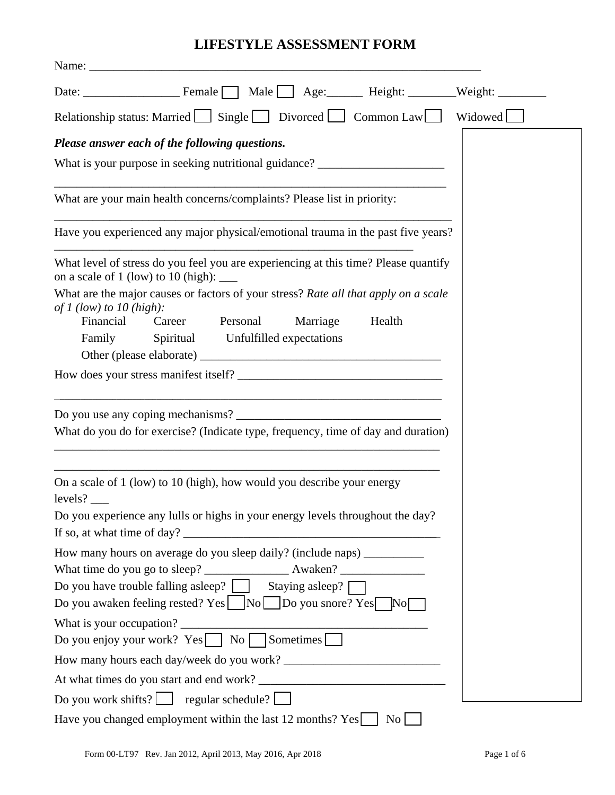| Relationship status: Married Single Divorced Common Law Widowed                                                                                                                                                           |
|---------------------------------------------------------------------------------------------------------------------------------------------------------------------------------------------------------------------------|
| Please answer each of the following questions.                                                                                                                                                                            |
| What is your purpose in seeking nutritional guidance? __________________________                                                                                                                                          |
| What are your main health concerns/complaints? Please list in priority:                                                                                                                                                   |
| Have you experienced any major physical/emotional trauma in the past five years?                                                                                                                                          |
| What level of stress do you feel you are experiencing at this time? Please quantify<br>on a scale of 1 (low) to 10 (high): $\_\_$                                                                                         |
| What are the major causes or factors of your stress? Rate all that apply on a scale<br>of $1$ (low) to $10$ (high):<br>Financial<br>Career Personal<br>Marriage<br>Health<br>Family<br>Spiritual Unfulfilled expectations |
| How does your stress manifest itself?                                                                                                                                                                                     |
| <u> 1989 - Johann Stein, mars an deutscher Stein und der Stein und der Stein und der Stein und der Stein und der</u>                                                                                                      |
| What do you do for exercise? (Indicate type, frequency, time of day and duration)                                                                                                                                         |
| On a scale of 1 (low) to 10 (high), how would you describe your energy                                                                                                                                                    |
| Do you experience any lulls or highs in your energy levels throughout the day?<br>If so, at what time of day?                                                                                                             |
| How many hours on average do you sleep daily? (include naps) __________<br>Do you have trouble falling asleep? Staying asleep?<br>Do you awaken feeling rested? Yes No Do you snore? Yes No                               |
| What is your occupation?                                                                                                                                                                                                  |
| Do you enjoy your work? $Yes \frown No \frown Sometimes \frown$                                                                                                                                                           |
|                                                                                                                                                                                                                           |
|                                                                                                                                                                                                                           |
| Do you work shifts? $\Box$ regular schedule? $\Box$                                                                                                                                                                       |
| Have you changed employment within the last 12 months? Yes<br>$\overline{N_{0}}$                                                                                                                                          |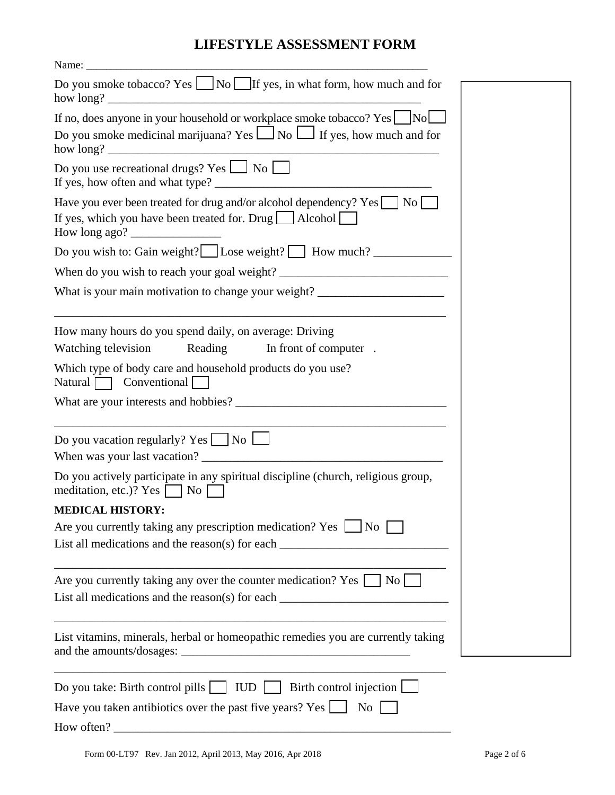| Name:                                                                                                                                                                                                                                     |  |
|-------------------------------------------------------------------------------------------------------------------------------------------------------------------------------------------------------------------------------------------|--|
| Do you smoke tobacco? Yes $\Box$ No $\Box$ If yes, in what form, how much and for<br>how long?                                                                                                                                            |  |
| If no, does anyone in your household or workplace smoke tobacco? $Yes \Box [No \Box]$<br>Do you smoke medicinal marijuana? Yes $\Box$ No $\Box$ If yes, how much and for                                                                  |  |
| Do you use recreational drugs? Yes $\Box$ No $\Box$                                                                                                                                                                                       |  |
| Have you ever been treated for drug and/or alcohol dependency? Yes $\Box$ No<br>If yes, which you have been treated for. Drug $\Box$ Alcohol<br>How long ago? $\frac{1}{\sqrt{1-\frac{1}{2}}}\$                                           |  |
| Do you wish to: Gain weight? Lose weight? How much? ____________________________                                                                                                                                                          |  |
|                                                                                                                                                                                                                                           |  |
| What is your main motivation to change your weight? ____________________________                                                                                                                                                          |  |
| <u> 1989 - Johann Stein, marwolaethau a bhann an t-Amhair ann an t-Amhair an t-Amhair an t-Amhair an t-Amhair an</u><br>How many hours do you spend daily, on average: Driving<br>Watching television<br>Reading<br>In front of computer. |  |
| Which type of body care and household products do you use?<br>Natural $\Box$ Conventional $\Box$                                                                                                                                          |  |
|                                                                                                                                                                                                                                           |  |
| Do you vacation regularly? Yes $\Box$ No $\Box$                                                                                                                                                                                           |  |
| Do you actively participate in any spiritual discipline (church, religious group,<br>meditation, etc.)? Yes $\Box$ No $\Box$                                                                                                              |  |
| <b>MEDICAL HISTORY:</b>                                                                                                                                                                                                                   |  |
| Are you currently taking any prescription medication? Yes $\Box$ No $\Box$<br>List all medications and the reason(s) for each _________________________________                                                                           |  |
| Are you currently taking any over the counter medication? Yes $\Box$ No $\Box$<br>List all medications and the reason(s) for each $\frac{1}{\sqrt{1-\frac{1}{n}}}\left\lfloor \frac{n}{n} \right\rfloor$                                  |  |
| List vitamins, minerals, herbal or homeopathic remedies you are currently taking                                                                                                                                                          |  |
| Do you take: Birth control pills $\Box$ IUD $\Box$ Birth control injection $\Box$                                                                                                                                                         |  |
| Have you taken antibiotics over the past five years? Yes $\Box$<br>N <sub>o</sub>                                                                                                                                                         |  |
| How often?                                                                                                                                                                                                                                |  |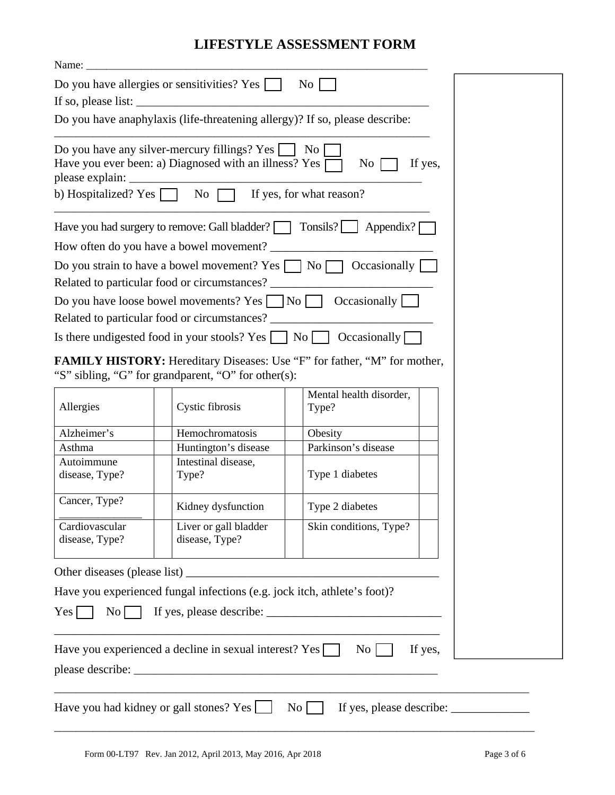| Name:                                                                       |                                                                                                                                          |                                                                                 |  |  |
|-----------------------------------------------------------------------------|------------------------------------------------------------------------------------------------------------------------------------------|---------------------------------------------------------------------------------|--|--|
|                                                                             | Do you have allergies or sensitivities? Yes<br>If so, please list: $\frac{1}{\sqrt{1-\frac{1}{2}} \cdot \frac{1}{\sqrt{1-\frac{1}{2}}}}$ | $\overline{N_{O}}$                                                              |  |  |
| Do you have anaphylaxis (life-threatening allergy)? If so, please describe: |                                                                                                                                          |                                                                                 |  |  |
| b) Hospitalized? Yes $\Box$                                                 | Do you have any silver-mercury fillings? Yes  <br>Have you ever been: a) Diagnosed with an illness? Yes<br>N <sub>o</sub>                | $\overline{N_{O}}$<br>No<br>If yes,<br>If yes, for what reason?                 |  |  |
|                                                                             |                                                                                                                                          | Have you had surgery to remove: Gall bladder?   Tonsils?   Appendix?            |  |  |
|                                                                             | How often do you have a bowel movement?                                                                                                  |                                                                                 |  |  |
|                                                                             |                                                                                                                                          | Do you strain to have a bowel movement? Yes $\Box$ No $\Box$ Occasionally [     |  |  |
|                                                                             | Related to particular food or circumstances?                                                                                             |                                                                                 |  |  |
|                                                                             | Do you have loose bowel movements? Yes $\Box$ No $\Box$ Occasionally $\Box$                                                              |                                                                                 |  |  |
|                                                                             | Related to particular food or circumstances?                                                                                             |                                                                                 |  |  |
|                                                                             | Is there undigested food in your stools? Yes $\Box$ No                                                                                   | Occasionally                                                                    |  |  |
|                                                                             | "S" sibling, "G" for grandparent, "O" for other(s):                                                                                      | <b>FAMILY HISTORY:</b> Hereditary Diseases: Use "F" for father, "M" for mother, |  |  |
| Allergies                                                                   | Cystic fibrosis                                                                                                                          | Mental health disorder,<br>Type?                                                |  |  |
| Alzheimer's                                                                 | Hemochromatosis                                                                                                                          | Obesity                                                                         |  |  |
| Asthma                                                                      | Huntington's disease                                                                                                                     | Parkinson's disease                                                             |  |  |
| Autoimmune<br>disease, Type?                                                | Intestinal disease,<br>Type?                                                                                                             | Type 1 diabetes                                                                 |  |  |
| Cancer, Type?                                                               | Kidney dysfunction                                                                                                                       | Type 2 diabetes                                                                 |  |  |
| Cardiovascular<br>disease, Type?                                            | Liver or gall bladder<br>disease, Type?                                                                                                  | Skin conditions, Type?                                                          |  |  |
| Other diseases (please list) _                                              |                                                                                                                                          | <u> 1980 - Jan Barbara, martxa al II-lea (h. 1980).</u>                         |  |  |
|                                                                             | Have you experienced fungal infections (e.g. jock itch, athlete's foot)?                                                                 |                                                                                 |  |  |
| $\overline{N_{0}}$<br>Yes                                                   |                                                                                                                                          |                                                                                 |  |  |
|                                                                             | Have you experienced a decline in sexual interest? Yes $\lceil$                                                                          | If yes,<br>$\overline{N_{0}}$                                                   |  |  |
|                                                                             | Have you had kidney or gall stones? Yes [                                                                                                | $\overline{N_0}$                                                                |  |  |

\_\_\_\_\_\_\_\_\_\_\_\_\_\_\_\_\_\_\_\_\_\_\_\_\_\_\_\_\_\_\_\_\_\_\_\_\_\_\_\_\_\_\_\_\_\_\_\_\_\_\_\_\_\_\_\_\_\_\_\_\_\_\_\_\_\_\_\_\_\_\_\_\_\_\_\_\_\_\_\_\_\_\_\_\_\_\_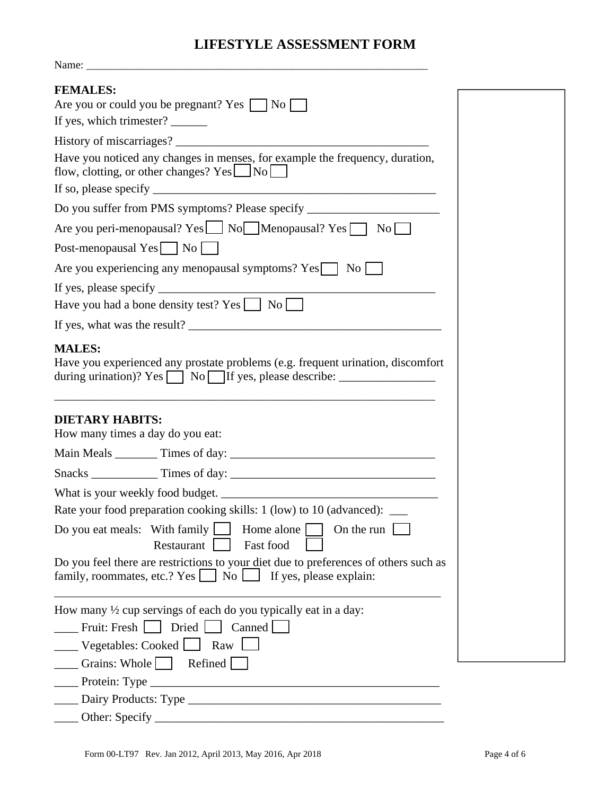| <b>FEMALES:</b><br>Are you or could you be pregnant? Yes $\Box$ No $\Box$                                                                                     |  |
|---------------------------------------------------------------------------------------------------------------------------------------------------------------|--|
| If yes, which trimester?                                                                                                                                      |  |
| Have you noticed any changes in menses, for example the frequency, duration,                                                                                  |  |
| flow, clotting, or other changes? $Yes \Box No \Box$<br>If so, please specify $\frac{1}{1}$                                                                   |  |
| Do you suffer from PMS symptoms? Please specify ________________________________                                                                              |  |
| Are you peri-menopausal? Yes $\Box$ No $\Box$ Menopausal? Yes $\Box$ No $\Box$                                                                                |  |
| Post-menopausal Yes No                                                                                                                                        |  |
| Are you experiencing any menopausal symptoms? Yes No [                                                                                                        |  |
|                                                                                                                                                               |  |
| Have you had a bone density test? Yes $\Box$ No                                                                                                               |  |
|                                                                                                                                                               |  |
| <b>MALES:</b><br>Have you experienced any prostate problems (e.g. frequent urination, discomfort                                                              |  |
| <b>DIETARY HABITS:</b><br>How many times a day do you eat:                                                                                                    |  |
|                                                                                                                                                               |  |
|                                                                                                                                                               |  |
|                                                                                                                                                               |  |
| Rate your food preparation cooking skills: 1 (low) to 10 (advanced): __                                                                                       |  |
| Do you eat meals: With family $\Box$ Home alone $\Box$ On the run<br>Restaurant    <br>Fast food                                                              |  |
| Do you feel there are restrictions to your diet due to preferences of others such as<br>family, roommates, etc.? Yes $\Box$ No $\Box$ If yes, please explain: |  |
| How many $\frac{1}{2}$ cup servings of each do you typically eat in a day:<br>Fruit: Fresh Dried Canned                                                       |  |
| Vegetables: Cooked $\Box$ Raw                                                                                                                                 |  |
| $\Box$ Grains: Whole Refined                                                                                                                                  |  |
|                                                                                                                                                               |  |
|                                                                                                                                                               |  |
|                                                                                                                                                               |  |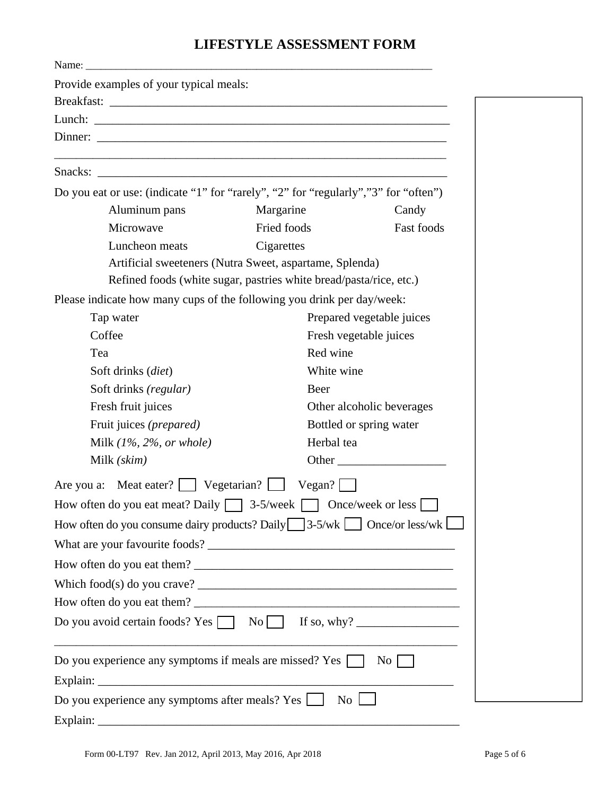| Name:                                                                                      |                                                                    |                           |  |
|--------------------------------------------------------------------------------------------|--------------------------------------------------------------------|---------------------------|--|
| Provide examples of your typical meals:                                                    |                                                                    |                           |  |
|                                                                                            |                                                                    |                           |  |
|                                                                                            |                                                                    |                           |  |
|                                                                                            |                                                                    |                           |  |
|                                                                                            |                                                                    |                           |  |
| Do you eat or use: (indicate "1" for "rarely", "2" for "regularly","3" for "often")        |                                                                    |                           |  |
| Aluminum pans                                                                              | Margarine                                                          | Candy                     |  |
| Microwave                                                                                  | Fried foods                                                        | Fast foods                |  |
| Luncheon meats                                                                             | Cigarettes                                                         |                           |  |
|                                                                                            | Artificial sweeteners (Nutra Sweet, aspartame, Splenda)            |                           |  |
|                                                                                            | Refined foods (white sugar, pastries white bread/pasta/rice, etc.) |                           |  |
| Please indicate how many cups of the following you drink per day/week:                     |                                                                    |                           |  |
| Tap water                                                                                  |                                                                    | Prepared vegetable juices |  |
| Coffee                                                                                     |                                                                    | Fresh vegetable juices    |  |
| Tea                                                                                        | Red wine                                                           |                           |  |
| White wine<br>Soft drinks (diet)                                                           |                                                                    |                           |  |
| Soft drinks (regular)                                                                      | Beer                                                               |                           |  |
| Fresh fruit juices                                                                         |                                                                    | Other alcoholic beverages |  |
| Fruit juices (prepared)                                                                    |                                                                    | Bottled or spring water   |  |
| Milk $(1\%, 2\%, or whole)$                                                                |                                                                    | Herbal tea                |  |
| Milk (skim)                                                                                |                                                                    |                           |  |
| Are you a: Meat eater? $\Box$ Vegetarian?                                                  | $Vegan?$                                                           |                           |  |
| How often do you eat meat? Daily $\Box$ 3-5/week                                           |                                                                    | Once/week or less         |  |
| How often do you consume dairy products? Daily $\Box$ 3-5/wk $\Box$ Once/or less/wk $\Box$ |                                                                    |                           |  |
|                                                                                            |                                                                    |                           |  |
|                                                                                            |                                                                    |                           |  |
|                                                                                            |                                                                    |                           |  |
|                                                                                            |                                                                    |                           |  |
|                                                                                            |                                                                    |                           |  |
|                                                                                            |                                                                    |                           |  |
| Do you experience any symptoms if meals are missed? Yes $\Box$                             |                                                                    | No                        |  |
|                                                                                            |                                                                    |                           |  |
| Do you experience any symptoms after meals? Yes $\Box$ No $\Box$                           |                                                                    |                           |  |
|                                                                                            |                                                                    |                           |  |